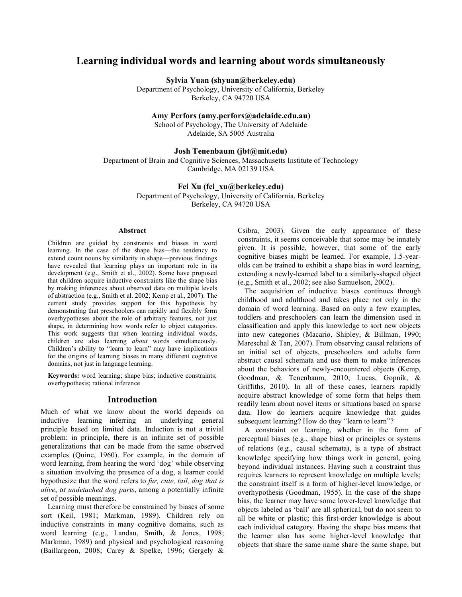# **Learning individual words and learning about words simultaneously**

**Sylvia Yuan (shyuan@berkeley.edu)**

Department of Psychology, University of California, Berkeley Berkeley, CA 94720 USA

**Amy Perfors (amy.perfors@adelaide.edu.au)**

School of Psychology, The University of Adelaide Adelaide, SA 5005 Australia

### **Josh Tenenbaum (jbt@mit.edu)**

Department of Brain and Cognitive Sciences, Massachusetts Institute of Technology Cambridge, MA 02139 USA

### **Fei Xu (fei\_xu@berkeley.edu)**

Department of Psychology, University of California, Berkeley Berkeley, CA 94720 USA

#### **Abstract**

Children are guided by constraints and biases in word learning. In the case of the shape bias—the tendency to extend count nouns by similarity in shape—previous findings have revealed that learning plays an important role in its development (e.g., Smith et al., 2002). Some have proposed that children acquire inductive constraints like the shape bias by making inferences about observed data on multiple levels of abstraction (e.g., Smith et al. 2002; Kemp et al., 2007). The current study provides support for this hypothesis by demonstrating that preschoolers can rapidly and flexibly form overhypotheses about the role of arbitrary features, not just shape, in determining how words refer to object categories. This work suggests that when learning individual words, children are also learning *about* words simultaneously. Children's ability to "learn to learn" may have implications for the origins of learning biases in many different cognitive domains, not just in language learning.

**Keywords:** word learning; shape bias; inductive constraints; overhypothesis; rational inference

# **Introduction**

Much of what we know about the world depends on inductive learning—inferring an underlying general principle based on limited data. Induction is not a trivial problem: in principle, there is an infinite set of possible generalizations that can be made from the same observed examples (Quine, 1960). For example, in the domain of word learning, from hearing the word 'dog' while observing a situation involving the presence of a dog, a learner could hypothesize that the word refers to *fur, cute, tail, dog that is alive*, or *undetached dog parts*, among a potentially infinite set of possible meanings.

Learning must therefore be constrained by biases of some sort (Keil, 1981; Markman, 1989). Children rely on inductive constraints in many cognitive domains, such as word learning (e.g., Landau, Smith, & Jones, 1998; Markman, 1989) and physical and psychological reasoning (Baillargeon, 2008; Carey & Spelke, 1996; Gergely &

Csibra, 2003). Given the early appearance of these constraints, it seems conceivable that some may be innately given. It is possible, however, that some of the early cognitive biases might be learned. For example, 1.5-yearolds can be trained to exhibit a shape bias in word learning, extending a newly-learned label to a similarly-shaped object (e.g., Smith et al., 2002; see also Samuelson, 2002).

The acquisition of inductive biases continues through childhood and adulthood and takes place not only in the domain of word learning. Based on only a few examples, toddlers and preschoolers can learn the dimension used in classification and apply this knowledge to sort new objects into new categories (Macario, Shipley, & Billman, 1990; Mareschal & Tan, 2007). From observing causal relations of an initial set of objects, preschoolers and adults form abstract causal schemata and use them to make inferences about the behaviors of newly-encountered objects (Kemp, Goodman, & Tenenbaum, 2010; Lucas, Gopnik, & Griffiths, 2010). In all of these cases, learners rapidly acquire abstract knowledge of some form that helps them readily learn about novel items or situations based on sparse data. How do learners acquire knowledge that guides subsequent learning? How do they "learn to learn"?

A constraint on learning, whether in the form of perceptual biases (e.g., shape bias) or principles or systems of relations (e.g., causal schemata), is a type of abstract knowledge specifying how things work in general, going beyond individual instances. Having such a constraint thus requires learners to represent knowledge on multiple levels; the constraint itself is a form of higher-level knowledge, or overhypothesis (Goodman, 1955). In the case of the shape bias, the learner may have some lower-level knowledge that objects labeled as 'ball' are all spherical, but do not seem to all be white or plastic; this first-order knowledge is about each individual category. Having the shape bias means that the learner also has some higher-level knowledge that objects that share the same name share the same shape, but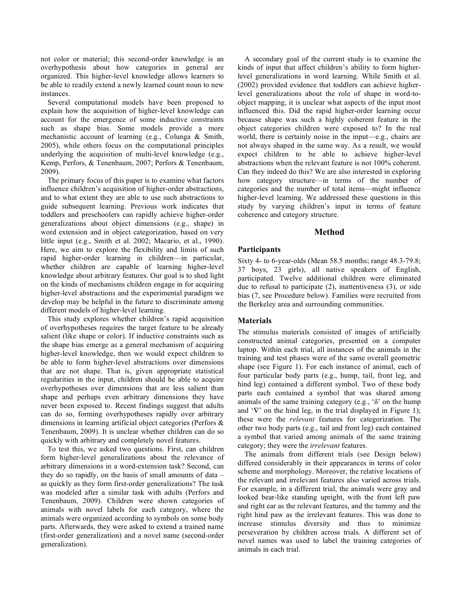not color or material; this second-order knowledge is an overhypothesis about how categories in general are organized. This higher-level knowledge allows learners to be able to readily extend a newly learned count noun to new instances.

Several computational models have been proposed to explain how the acquisition of higher-level knowledge can account for the emergence of some inductive constraints such as shape bias. Some models provide a more mechanistic account of learning (e.g., Colunga & Smith, 2005), while others focus on the computational principles underlying the acquisition of multi-level knowledge (e.g., Kemp, Perfors, & Tenenbaum, 2007; Perfors & Tenenbaum, 2009).

The primary focus of this paper is to examine what factors influence children's acquisition of higher-order abstractions, and to what extent they are able to use such abstractions to guide subsequent learning. Previous work indicates that toddlers and preschoolers can rapidly achieve higher-order generalizations about object dimensions (e.g., shape) in word extension and in object categorization, based on very little input (e.g., Smith et al. 2002; Macario, et al., 1990). Here, we aim to explore the flexibility and limits of such rapid higher-order learning in children—in particular, whether children are capable of learning higher-level knowledge about arbitrary features. Our goal is to shed light on the kinds of mechanisms children engage in for acquiring higher-level abstractions and the experimental paradigm we develop may be helpful in the future to discriminate among different models of higher-level learning.

This study explores whether children's rapid acquisition of overhypotheses requires the target feature to be already salient (like shape or color). If inductive constraints such as the shape bias emerge as a general mechanism of acquiring higher-level knowledge, then we would expect children to be able to form higher-level abstractions over dimensions that are not shape. That is, given appropriate statistical regularities in the input, children should be able to acquire overhypotheses over dimensions that are less salient than shape and perhaps even arbitrary dimensions they have never been exposed to. Recent findings suggest that adults can do so, forming overhypotheses rapidly over arbitrary dimensions in learning artificial object categories (Perfors & Tenenbaum, 2009). It is unclear whether children can do so quickly with arbitrary and completely novel features.

To test this, we asked two questions. First, can children form higher-level generalizations about the relevance of arbitrary dimensions in a word-extension task? Second, can they do so rapidly, on the basis of small amounts of data – as quickly as they form first-order generalizations? The task was modeled after a similar task with adults (Perfors and Tenenbaum, 2009). Children were shown categories of animals with novel labels for each category, where the animals were organized according to symbols on some body parts. Afterwards, they were asked to extend a trained name (first-order generalization) and a novel name (second-order generalization).

A secondary goal of the current study is to examine the kinds of input that affect children's ability to form higherlevel generalizations in word learning. While Smith et al. (2002) provided evidence that toddlers can achieve higherlevel generalizations about the role of shape in word-toobject mapping, it is unclear what aspects of the input most influenced this. Did the rapid higher-order learning occur because shape was such a highly coherent feature in the object categories children were exposed to? In the real world, there is certainly noise in the input—e.g., chairs are not always shaped in the same way. As a result, we would expect children to be able to achieve higher-level abstractions when the relevant feature is not 100% coherent. Can they indeed do this? We are also interested in exploring how category structure—in terms of the number of categories and the number of total items—might influence higher-level learning. We addressed these questions in this study by varying children's input in terms of feature coherence and category structure.

# **Method**

## **Participants**

Sixty 4- to 6-year-olds (Mean 58.5 months; range 48.3-79.8; 37 boys, 23 girls), all native speakers of English, participated. Twelve additional children were eliminated due to refusal to participate (2), inattentiveness (3), or side bias (7, see Procedure below). Families were recruited from the Berkeley area and surrounding communities.

## **Materials**

The stimulus materials consisted of images of artificially constructed animal categories, presented on a computer laptop. Within each trial, all instances of the animals in the training and test phases were of the same overall geometric shape (see Figure 1). For each instance of animal, each of four particular body parts (e.g., hump, tail, front leg, and hind leg) contained a different symbol. Two of these body parts each contained a symbol that was shared among animals of the same training category (e.g., 'δ' on the hump and '∇' on the hind leg, in the trial displayed in Figure 1); these were the *relevant* features for categorization. The other two body parts (e.g., tail and front leg) each contained a symbol that varied among animals of the same training category; they were the *irrelevant* features.

The animals from different trials (see Design below) differed considerably in their appearances in terms of color scheme and morphology. Moreover, the relative locations of the relevant and irrelevant features also varied across trials. For example, in a different trial, the animals were gray and looked bear-like standing upright, with the front left paw and right ear as the relevant features, and the tummy and the right hind paw as the irrelevant features. This was done to increase stimulus diversity and thus to minimize perseveration by children across trials. A different set of novel names was used to label the training categories of animals in each trial.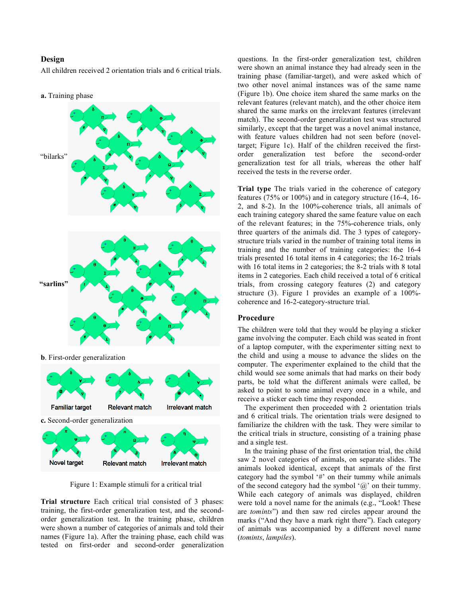# **Design**

All children received 2 orientation trials and 6 critical trials.





Figure 1: Example stimuli for a critical trial

**Trial structure** Each critical trial consisted of 3 phases: training, the first-order generalization test, and the secondorder generalization test. In the training phase, children were shown a number of categories of animals and told their names (Figure 1a). After the training phase, each child was tested on first-order and second-order generalization questions. In the first-order generalization test, children were shown an animal instance they had already seen in the training phase (familiar-target), and were asked which of two other novel animal instances was of the same name (Figure 1b). One choice item shared the same marks on the relevant features (relevant match), and the other choice item shared the same marks on the irrelevant features (irrelevant match). The second-order generalization test was structured similarly, except that the target was a novel animal instance, with feature values children had not seen before (noveltarget; Figure 1c). Half of the children received the firstorder generalization test before the second-order generalization test for all trials, whereas the other half received the tests in the reverse order.

**Trial type** The trials varied in the coherence of category features (75% or 100%) and in category structure (16-4, 16- 2, and 8-2). In the 100%-coherence trials, all animals of each training category shared the same feature value on each of the relevant features; in the 75%-coherence trials, only three quarters of the animals did. The 3 types of categorystructure trials varied in the number of training total items in training and the number of training categories: the 16-4 trials presented 16 total items in 4 categories; the 16-2 trials with 16 total items in 2 categories; the 8-2 trials with 8 total items in 2 categories. Each child received a total of 6 critical trials, from crossing category features (2) and category structure (3). Figure 1 provides an example of a 100% coherence and 16-2-category-structure trial.

### **Procedure**

The children were told that they would be playing a sticker game involving the computer. Each child was seated in front of a laptop computer, with the experimenter sitting next to the child and using a mouse to advance the slides on the computer. The experimenter explained to the child that the child would see some animals that had marks on their body parts, be told what the different animals were called, be asked to point to some animal every once in a while, and receive a sticker each time they responded.

The experiment then proceeded with 2 orientation trials and 6 critical trials. The orientation trials were designed to familiarize the children with the task. They were similar to the critical trials in structure, consisting of a training phase and a single test.

In the training phase of the first orientation trial, the child saw 2 novel categories of animals, on separate slides. The animals looked identical, except that animals of the first category had the symbol '#' on their tummy while animals of the second category had the symbol ' $\omega$ ' on their tummy. While each category of animals was displayed, children were told a novel name for the animals (e.g., "Look! These are *tomints*") and then saw red circles appear around the marks ("And they have a mark right there"). Each category of animals was accompanied by a different novel name (*tomints*, *lampiles*).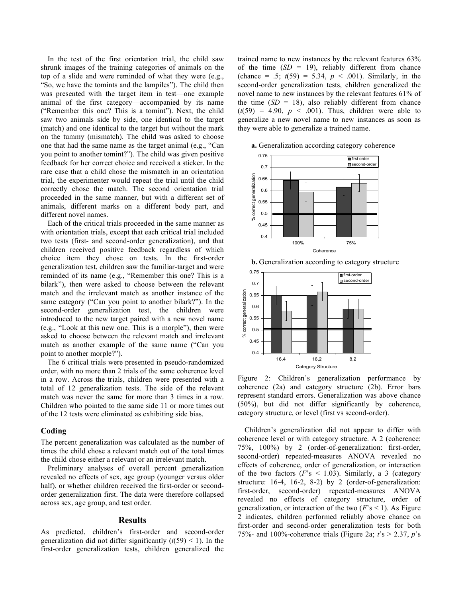In the test of the first orientation trial, the child saw shrunk images of the training categories of animals on the top of a slide and were reminded of what they were (e.g., "So, we have the tomints and the lampiles"). The child then was presented with the target item in test—one example animal of the first category—accompanied by its name ("Remember this one? This is a tomint"). Next, the child saw two animals side by side, one identical to the target (match) and one identical to the target but without the mark on the tummy (mismatch). The child was asked to choose one that had the same name as the target animal (e.g., "Can you point to another tomint?"). The child was given positive feedback for her correct choice and received a sticker. In the rare case that a child chose the mismatch in an orientation trial, the experimenter would repeat the trial until the child correctly chose the match. The second orientation trial proceeded in the same manner, but with a different set of animals, different marks on a different body part, and different novel names.

Each of the critical trials proceeded in the same manner as with orientation trials, except that each critical trial included two tests (first- and second-order generalization), and that children received positive feedback regardless of which choice item they chose on tests. In the first-order generalization test, children saw the familiar-target and were reminded of its name (e.g., "Remember this one? This is a bilark"), then were asked to choose between the relevant match and the irrelevant match as another instance of the same category ("Can you point to another bilark?"). In the second-order generalization test, the children were introduced to the new target paired with a new novel name (e.g., "Look at this new one. This is a morple"), then were asked to choose between the relevant match and irrelevant match as another example of the same name ("Can you point to another morple?").

The 6 critical trials were presented in pseudo-randomized order, with no more than 2 trials of the same coherence level in a row. Across the trials, children were presented with a total of 12 generalization tests. The side of the relevant match was never the same for more than 3 times in a row. Children who pointed to the same side 11 or more times out of the 12 tests were eliminated as exhibiting side bias.

### **Coding**

The percent generalization was calculated as the number of times the child chose a relevant match out of the total times the child chose either a relevant or an irrelevant match.

Preliminary analyses of overall percent generalization revealed no effects of sex, age group (younger versus older half), or whether children received the first-order or secondorder generalization first. The data were therefore collapsed across sex, age group, and test order.

### **Results**

As predicted, children's first-order and second-order generalization did not differ significantly  $(t(59) < 1)$ . In the first-order generalization tests, children generalized the trained name to new instances by the relevant features 63% of the time  $(SD = 19)$ , reliably different from chance (chance = .5;  $t(59) = 5.34$ ,  $p < .001$ ). Similarly, in the second-order generalization tests, children generalized the novel name to new instances by the relevant features 61% of the time  $(SD = 18)$ , also reliably different from chance  $(t(59) = 4.90, p < .001)$ . Thus, children were able to generalize a new novel name to new instances as soon as they were able to generalize a trained name.



**a.** Generalization according category coherence

![](_page_3_Figure_11.jpeg)

Figure 2: Children's generalization performance by coherence (2a) and category structure (2b). Error bars represent standard errors. Generalization was above chance (50%), but did not differ significantly by coherence, category structure, or level (first vs second-order).

Children's generalization did not appear to differ with coherence level or with category structure. A 2 (coherence: 75%, 100%) by 2 (order-of-generalization: first-order, second-order) repeated-measures ANOVA revealed no effects of coherence, order of generalization, or interaction of the two factors  $(F<sub>s</sub> < 1.03)$ . Similarly, a 3 (category structure: 16-4, 16-2, 8-2) by 2 (order-of-generalization: first-order, second-order) repeated-measures ANOVA revealed no effects of category structure, order of generalization, or interaction of the two  $(F<sub>s</sub> < 1)$ . As Figure 2 indicates, children performed reliably above chance on first-order and second-order generalization tests for both 75%- and 100%-coherence trials (Figure 2a; *t*'s > 2.37, *p*'s

**b.** Generalization according to category structure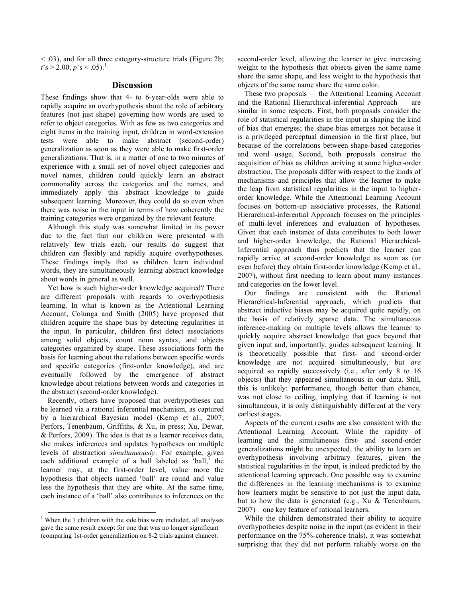< .03), and for all three category-structure trials (Figure 2b;  $t$ 's > 2.00,  $p$ 's < .05).<sup>1</sup>

### **Discussion**

These findings show that 4- to 6-year-olds were able to rapidly acquire an overhypothesis about the role of arbitrary features (not just shape) governing how words are used to refer to object categories. With as few as two categories and eight items in the training input, children in word-extension tests were able to make abstract (second-order) generalization as soon as they were able to make first-order generalizations. That is, in a matter of one to two minutes of experience with a small set of novel object categories and novel names, children could quickly learn an abstract commonality across the categories and the names, and immediately apply this abstract knowledge to guide subsequent learning. Moreover, they could do so even when there was noise in the input in terms of how coherently the training categories were organized by the relevant feature.

Although this study was somewhat limited in its power due to the fact that our children were presented with relatively few trials each, our results do suggest that children can flexibly and rapidly acquire overhypotheses. These findings imply that as children learn individual words, they are simultaneously learning abstract knowledge about words in general as well.

Yet how is such higher-order knowledge acquired? There are different proposals with regards to overhypothesis learning. In what is known as the Attentional Learning Account, Colunga and Smith (2005) have proposed that children acquire the shape bias by detecting regularities in the input. In particular, children first detect associations among solid objects, count noun syntax, and objects categories organized by shape. These associations form the basis for learning about the relations between specific words and specific categories (first-order knowledge), and are eventually followed by the emergence of abstract knowledge about relations between words and categories in the abstract (second-order knowledge).

Recently, others have proposed that overhypotheses can be learned via a rational inferential mechanism, as captured by a hierarchical Bayesian model (Kemp et al., 2007; Perfors, Tenenbaum, Griffiths, & Xu, in press; Xu, Dewar, & Perfors, 2009). The idea is that as a learner receives data, she makes inferences and updates hypotheses on multiple levels of abstraction *simultaneously*. For example, given each additional example of a ball labeled as 'ball,' the learner may, at the first-order level, value more the hypothesis that objects named 'ball' are round and value less the hypothesis that they are white. At the same time, each instance of a 'ball' also contributes to inferences on the second-order level, allowing the learner to give increasing weight to the hypothesis that objects given the same name share the same shape, and less weight to the hypothesis that objects of the same name share the same color.

These two proposals — the Attentional Learning Account and the Rational Hierarchical-inferential Approach — are similar in some respects. First, both proposals consider the role of statistical regularities in the input in shaping the kind of bias that emerges; the shape bias emerges not because it is a privileged perceptual dimension in the first place, but because of the correlations between shape-based categories and word usage. Second, both proposals construe the acquisition of bias as children arriving at some higher-order abstraction. The proposals differ with respect to the kinds of mechanisms and principles that allow the learner to make the leap from statistical regularities in the input to higherorder knowledge. While the Attentional Learning Account focuses on bottom-up associative processes, the Rational Hierarchical-inferential Approach focuses on the principles of multi-level inferences and evaluation of hypotheses. Given that each instance of data contributes to both lower and higher-order knowledge, the Rational Hierarchical-Inferential approach thus predicts that the learner can rapidly arrive at second-order knowledge as soon as (or even before) they obtain first-order knowledge (Kemp et al., 2007), without first needing to learn about many instances and categories on the lower level.

Our findings are consistent with the Rational Hierarchical-Inferential approach, which predicts that abstract inductive biases may be acquired quite rapidly, on the basis of relatively sparse data. The simultaneous inference-making on multiple levels allows the learner to quickly acquire abstract knowledge that goes beyond that given input and, importantly, guides subsequent learning. It is theoretically possible that first- and second-order knowledge are not acquired simultaneously, but *are* acquired so rapidly successively (i.e., after only 8 to 16 objects) that they appeared simultaneous in our data. Still, this is unlikely: performance, though better than chance, was not close to ceiling, implying that if learning is not simultaneous, it is only distinguishably different at the very earliest stages.

Aspects of the current results are also consistent with the Attentional Learning Account. While the rapidity of learning and the simultaneous first- and second-order generalizations might be unexpected, the ability to learn an overhypothesis involving arbitrary features, given the statistical regularities in the input, is indeed predicted by the attentional learning approach. One possible way to examine the differences in the learning mechanisms is to examine how learners might be sensitive to not just the input data, but to how the data is generated (e.g., Xu & Tenenbaum, 2007)—one key feature of rational learners.

While the children demonstrated their ability to acquire overhypotheses despite noise in the input (as evident in their performance on the 75%-coherence trials), it was somewhat surprising that they did not perform reliably worse on the

<sup>&</sup>lt;sup>1</sup> When the 7 children with the side bias were included, all analyses gave the same result except for one that was no longer significant (comparing 1st-order generalization on 8-2 trials against chance).